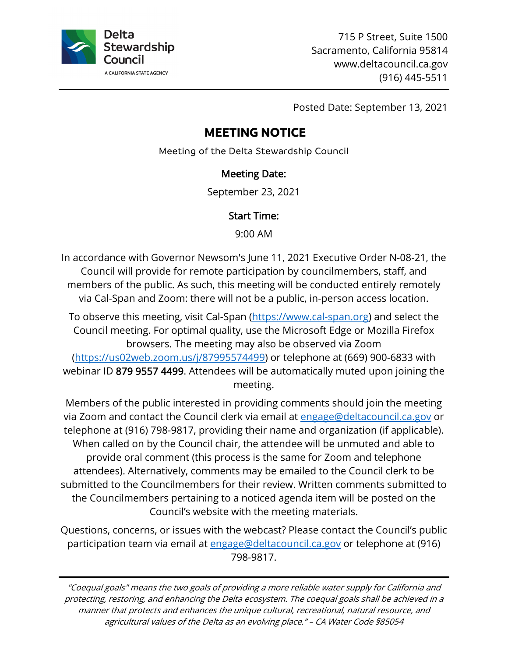

715 P Street, Suite 1500 Sacramento, California 95814 www.deltacouncil.ca.gov (916) 445-5511

Posted Date: September 13, 2021

# **MEETING NOTICE**

Meeting of the Delta Stewardship Council

#### Meeting Date:

September 23, 2021

#### Start Time:

9:00 AM

In accordance with Governor Newsom's June 11, 2021 Executive Order N-08-21, the Council will provide for remote participation by councilmembers, staff, and members of the public. As such, this meeting will be conducted entirely remotely via Cal-Span and Zoom: there will not be a public, in-person access location.

To observe this meeting, visit Cal-Span [\(https://www.cal-span.org\)](https://www.cal-span.org/) and select the Council meeting. For optimal quality, use the Microsoft Edge or Mozilla Firefox browsers. The meeting may also be observed via Zoom [\(https://us02web.zoom.us/j/87995574499\)](https://us02web.zoom.us/j/87995574499) or telephone at (669) 900-6833 with webinar ID 879 9557 4499. Attendees will be automatically muted upon joining the meeting.

Members of the public interested in providing comments should join the meeting via Zoom and contact the Council clerk via email at [engage@deltacouncil.ca.gov](mailto:engage@deltacouncil.ca.gov) or telephone at (916) 798-9817, providing their name and organization (if applicable). When called on by the Council chair, the attendee will be unmuted and able to provide oral comment (this process is the same for Zoom and telephone attendees). Alternatively, comments may be emailed to the Council clerk to be submitted to the Councilmembers for their review. Written comments submitted to the Councilmembers pertaining to a noticed agenda item will be posted on the Council's website with the meeting materials.

Questions, concerns, or issues with the webcast? Please contact the Council's public participation team via email at [engage@deltacouncil.ca.gov](mailto:engage@deltacouncil.ca.gov) or telephone at (916) 798-9817.

"Coequal goals" means the two goals of providing a more reliable water supply for California and protecting, restoring, and enhancing the Delta ecosystem. The coequal goals shall be achieved in a manner that protects and enhances the unique cultural, recreational, natural resource, and agricultural values of the Delta as an evolving place." – CA Water Code §85054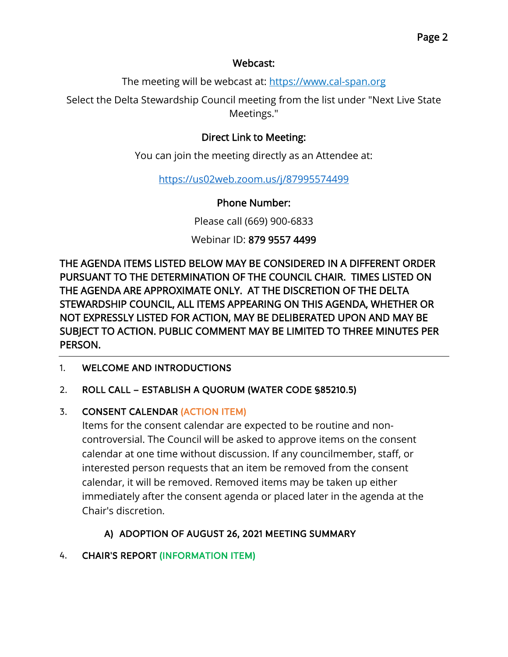#### Webcast:

The meeting will be webcast at: [https://www.cal-span.org](https://www.cal-span.org/)

Select the Delta Stewardship Council meeting from the list under "Next Live State Meetings."

#### Direct Link to Meeting:

You can join the meeting directly as an Attendee at:

<https://us02web.zoom.us/j/87995574499>

Phone Number:

Please call (669) 900-6833

Webinar ID: 879 9557 4499

THE AGENDA ITEMS LISTED BELOW MAY BE CONSIDERED IN A DIFFERENT ORDER PURSUANT TO THE DETERMINATION OF THE COUNCIL CHAIR. TIMES LISTED ON THE AGENDA ARE APPROXIMATE ONLY. AT THE DISCRETION OF THE DELTA STEWARDSHIP COUNCIL, ALL ITEMS APPEARING ON THIS AGENDA, WHETHER OR NOT EXPRESSLY LISTED FOR ACTION, MAY BE DELIBERATED UPON AND MAY BE SUBJECT TO ACTION. PUBLIC COMMENT MAY BE LIMITED TO THREE MINUTES PER PERSON.

1. WELCOME AND INTRODUCTIONS

#### 2. ROLL CALL – ESTABLISH A QUORUM (WATER CODE §85210.5)

#### 3. CONSENT CALENDAR (ACTION ITEM)

Items for the consent calendar are expected to be routine and noncontroversial. The Council will be asked to approve items on the consent calendar at one time without discussion. If any councilmember, staff, or interested person requests that an item be removed from the consent calendar, it will be removed. Removed items may be taken up either immediately after the consent agenda or placed later in the agenda at the Chair's discretion.

## A) ADOPTION OF AUGUST 26, 2021 MEETING SUMMARY

#### 4. CHAIR'S REPORT (INFORMATION ITEM)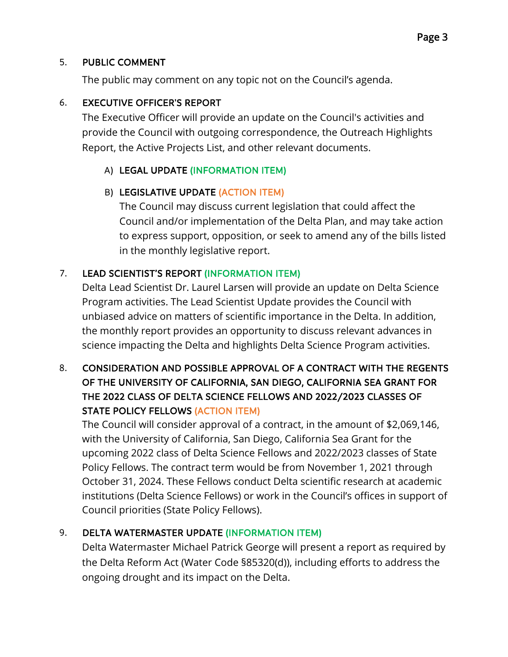#### 5. PUBLIC COMMENT

The public may comment on any topic not on the Council's agenda.

#### 6. EXECUTIVE OFFICER'S REPORT

The Executive Officer will provide an update on the Council's activities and provide the Council with outgoing correspondence, the Outreach Highlights Report, the Active Projects List, and other relevant documents.

## A) LEGAL UPDATE (INFORMATION ITEM)

## B) LEGISLATIVE UPDATE (ACTION ITEM)

The Council may discuss current legislation that could affect the Council and/or implementation of the Delta Plan, and may take action to express support, opposition, or seek to amend any of the bills listed in the monthly legislative report.

## 7. LEAD SCIENTIST'S REPORT (INFORMATION ITEM)

Delta Lead Scientist Dr. Laurel Larsen will provide an update on Delta Science Program activities. The Lead Scientist Update provides the Council with unbiased advice on matters of scientific importance in the Delta. In addition, the monthly report provides an opportunity to discuss relevant advances in science impacting the Delta and highlights Delta Science Program activities.

## 8. CONSIDERATION AND POSSIBLE APPROVAL OF A CONTRACT WITH THE REGENTS OF THE UNIVERSITY OF CALIFORNIA, SAN DIEGO, CALIFORNIA SEA GRANT FOR THE 2022 CLASS OF DELTA SCIENCE FELLOWS AND 2022/2023 CLASSES OF STATE POLICY FELLOWS (ACTION ITEM)

The Council will consider approval of a contract, in the amount of \$2,069,146, with the University of California, San Diego, California Sea Grant for the upcoming 2022 class of Delta Science Fellows and 2022/2023 classes of State Policy Fellows. The contract term would be from November 1, 2021 through October 31, 2024. These Fellows conduct Delta scientific research at academic institutions (Delta Science Fellows) or work in the Council's offices in support of Council priorities (State Policy Fellows).

## 9. DELTA WATERMASTER UPDATE (INFORMATION ITEM)

Delta Watermaster Michael Patrick George will present a report as required by the Delta Reform Act (Water Code §85320(d)), including efforts to address the ongoing drought and its impact on the Delta.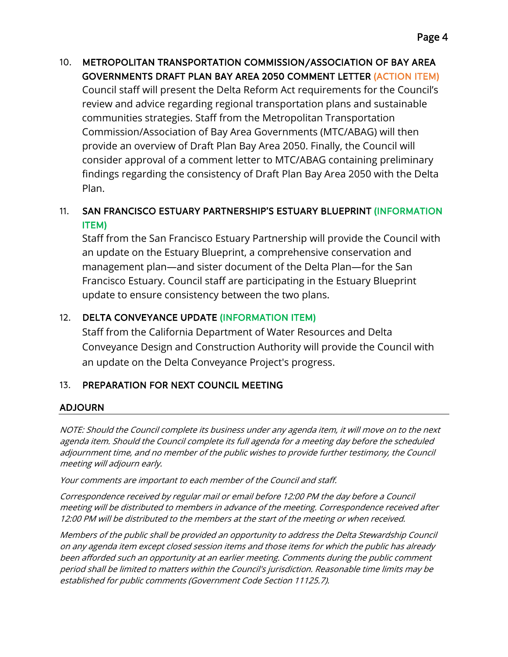10. METROPOLITAN TRANSPORTATION COMMISSION/ASSOCIATION OF BAY AREA GOVERNMENTS DRAFT PLAN BAY AREA 2050 COMMENT LETTER (ACTION ITEM) Council staff will present the Delta Reform Act requirements for the Council's review and advice regarding regional transportation plans and sustainable communities strategies. Staff from the Metropolitan Transportation Commission/Association of Bay Area Governments (MTC/ABAG) will then provide an overview of Draft Plan Bay Area 2050. Finally, the Council will consider approval of a comment letter to MTC/ABAG containing preliminary findings regarding the consistency of Draft Plan Bay Area 2050 with the Delta Plan.

## 11. SAN FRANCISCO ESTUARY PARTNERSHIP'S ESTUARY BLUEPRINT (INFORMATION ITEM)

Staff from the San Francisco Estuary Partnership will provide the Council with an update on the Estuary Blueprint, a comprehensive conservation and management plan—and sister document of the Delta Plan—for the San Francisco Estuary. Council staff are participating in the Estuary Blueprint update to ensure consistency between the two plans.

## 12. DELTA CONVEYANCE UPDATE (INFORMATION ITEM)

Staff from the California Department of Water Resources and Delta Conveyance Design and Construction Authority will provide the Council with an update on the Delta Conveyance Project's progress.

## 13. PREPARATION FOR NEXT COUNCIL MEETING

#### ADJOURN

NOTE: Should the Council complete its business under any agenda item, it will move on to the next agenda item. Should the Council complete its full agenda for a meeting day before the scheduled adjournment time, and no member of the public wishes to provide further testimony, the Council meeting will adjourn early.

Your comments are important to each member of the Council and staff.

Correspondence received by regular mail or email before 12:00 PM the day before a Council meeting will be distributed to members in advance of the meeting. Correspondence received after 12:00 PM will be distributed to the members at the start of the meeting or when received.

Members of the public shall be provided an opportunity to address the Delta Stewardship Council on any agenda item except closed session items and those items for which the public has already been afforded such an opportunity at an earlier meeting. Comments during the public comment period shall be limited to matters within the Council's jurisdiction. Reasonable time limits may be established for public comments (Government Code Section 11125.7).